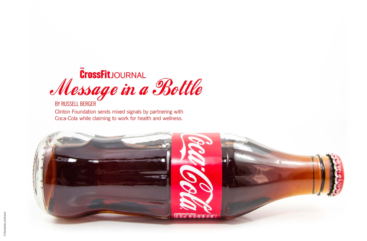

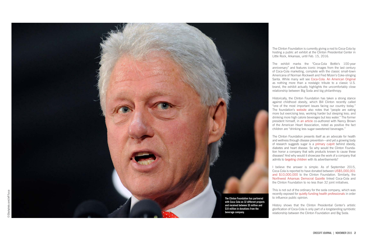The Clinton Foundation is currently giving a nod to Coca-Cola by hosting a public art exhibit at the Clinton Presidential Center in Little Rock, Arkansas, until Feb. 15, 2016.

The exhibit marks the "Coca-Cola Bottle's 100-year anniversary" and features iconic images from the last century of Coca-Cola marketing, complete with the classic small-town Americana of Norman Rockwell and Fred Mizen's Coke-slinging Santa. While many will see [Coca-Cola: An American Original](https://www.clintonfoundation.org/get-involved/take-action/attend-an-event/coca-cola-american-original) as nothing more than a nostalgic tribute to a classic U.S. brand, the exhibit actually highlights the uncomfortably close relationship between Big Soda and big philanthropy.

Historically, the Clinton Foundation has taken a strong stance against childhood obesity, which Bill Clinton recently called ["one of the most important issues facing our country today."](http://www.cnn.com/2015/06/30/opinions/clinton-brown-healthy-kids/) The foundation's [website](https://www.clintonfoundation.org/our-work/by-topic/health-and-wellness) also notes that "people are eating more but exercising less; working harder but sleeping less; and drinking more high calorie beverages but less water." The former president himself, in [an article](http://www.cnn.com/2015/06/30/opinions/clinton-brown-healthy-kids/) co-authored with Nancy Brown of the American Heart Association, noted as positive the fact children are "drinking less sugar-sweetened beverages."

The Clinton Foundation presents itself as an advocate for health and wellness through disease prevention—and yet a growing body of research suggests sugar is a [primary culprit](http://www.wsj.com/articles/study-links-sugar-to-conditions-that-lead-to-diabetes-heart-disease-in-children-1445938753) behind obesity, diabetes and heart disease. So why would the Clinton Founda tion honor a company that sells products known to cause these diseases? And why would it showcase the work of a company that admits to [targeting children](http://therussells.crossfit.com/2015/10/20/guilty-coca-cola-admits-advertising-to-children/) with its advertisements?

I believe the answer is simple: As of September 2015, Coca-Cola is reported to have donated between [US\\$5,000,001](https://www.clintonfoundation.org/contributors?category=%245%2C000%2C001+to+%2410%2C000%2C000) [and \\$10,000,000](https://www.clintonfoundation.org/contributors?category=%245%2C000%2C001+to+%2410%2C000%2C000) to the Clinton Foundation. Similarly, the [Northwest Arkansas Democrat Gazette](http://m.nwaonline.com/news/2015/nov/07/bill-clinton-welcomes-coke-relics-at-mu/) linked Coca-Cola and the Clinton Foundation to no less than 32 joint initiatives.

This is not out of the ordinary for the soda company, which was recently exposed for [quietly funding health professionals](http://well.blogs.nytimes.com/2015/08/09/coca-cola-funds-scientists-who-shift-blame-for-obesity-away-from-bad-diets/) in order to influence public opinion.

History shows that the Clinton Presidential Center's artistic glorification of Coca-Cola is only part of a longstanding symbiotic relationship between the Clinton Foundation and Big Soda.

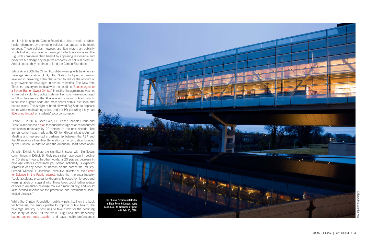In this relationship, the Clinton Foundation plays the role of publichealth champion by promoting policies that appear to be tough on soda. These policies, however, are little more than publicity stunts that actually have no meaningful effect on soda sales. The Big Soda companies then benefit by appearing responsible and proactive but dodge any negative economic or political pressure. And of course they continue to fund the Clinton Foundation.

Exhibit A: In 2006, the Clinton Foundation—along with the American Beverage Association (ABA), Big Soda's lobbying arm—was involved in brokering a deal that aimed to reduce the amount of sugar-sweetened beverages in school cafeterias. The New York Times ran a story on the deal with the headline ["Bottlers Agree to](http://www.nytimes.com/2006/05/04/health/04soda.html) [a School Ban on Sweet Drinks."](http://www.nytimes.com/2006/05/04/health/04soda.html) In reality, the agreement was not a ban but a voluntary policy statement schools were encouraged to follow. In essence, the ABA was encouraging school districts to sell less sugared soda and more sports drinks, diet soda and bottled water. This sleight of hand allowed Big Soda to appease critics while maintaining sales, and the PR posturing likely had [little or no impact](http://well.blogs.nytimes.com/2011/11/07/soda-bans-in-schools-have-limited-benefit/) on students' soda consumption.

Exhibit B: In 2014, Coca-Cola, Dr Pepper Snapple Group and PepsiCo announced [a plan](https://www.clintonfoundation.org/blog/2014/09/24/reducing-beverage-calories-nationwide) to reduce beverage calories consumed per person nationally by 20 percent in the next decade. The announcement was made at the Clinton Global Initiative Annual Meeting and represented a partnership between the ABA and the Alliance for a Healthier Generation, an organization founded by the Clinton Foundation and the American Heart Association.

As with Exhibit A, there are significant issues with Big Soda's commitment in Exhibit B. First, soda sales have been in decline for 10 straight years. In other words, a 20 percent decrease in beverage calories consumed per person nationally is expected regardless of any action or inaction on the part of the industry. Second, Michael F. Jacobson, executive director of the [Center](http://www.cspinet.org/new/201409231.html) [for Science in the Public Interest,](http://www.cspinet.org/new/201409231.html) noted that the soda industry "could accelerate progress by dropping its opposition to taxes and warning labels on sugar drinks. Those taxes could further reduce calories in America's beverage mix even more quickly, and would raise needed revenue for the prevention and treatment of sodarelated diseases."

While the Clinton Foundation publicly pats itself on the back for brokering this empty pledge to improve public health, the beverage industry is posturing to take credit for the declining popularity of soda. All the while, Big Soda simultaneously [battles against soda taxation](http://www.berkeleyside.com/2014/09/22/beverage-companies-donate-800000-to-fight-berkeley-soda-tax/) and pays health professionals



©iStockphoto.com/Ben ©iStockphoto.com/Ben KrutΣÎ